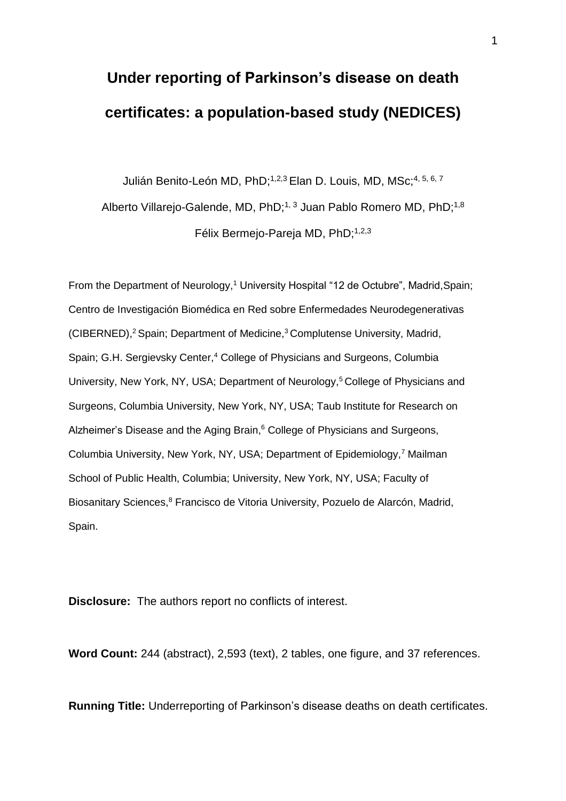# **Under reporting of Parkinson's disease on death certificates: a population-based study (NEDICES)**

Julián Benito-León MD, PhD;<sup>1,2,3</sup> Elan D. Louis, MD, MSc;<sup>4, 5, 6, 7</sup> Alberto Villarejo-Galende, MD, PhD;<sup>1, 3</sup> Juan Pablo Romero MD, PhD;<sup>1,8</sup> Félix Bermejo-Pareja MD, PhD;<sup>1,2,3</sup>

From the Department of Neurology,<sup>1</sup> University Hospital "12 de Octubre", Madrid, Spain; Centro de Investigación Biomédica en Red sobre Enfermedades Neurodegenerativas (CIBERNED),<sup>2</sup> Spain; Department of Medicine,<sup>3</sup> Complutense University, Madrid, Spain; G.H. Sergievsky Center,<sup>4</sup> College of Physicians and Surgeons, Columbia University, New York, NY, USA; Department of Neurology,<sup>5</sup> College of Physicians and Surgeons, Columbia University, New York, NY, USA; Taub Institute for Research on Alzheimer's Disease and the Aging Brain,<sup>6</sup> College of Physicians and Surgeons, Columbia University, New York, NY, USA; Department of Epidemiology,<sup>7</sup> Mailman School of Public Health, Columbia; University, New York, NY, USA; Faculty of Biosanitary Sciences,<sup>8</sup> Francisco de Vitoria University, Pozuelo de Alarcón, Madrid, Spain.

**Disclosure:** The authors report no conflicts of interest.

**Word Count:** 244 (abstract), 2,593 (text), 2 tables, one figure, and 37 references.

**Running Title:** Underreporting of Parkinson's disease deaths on death certificates.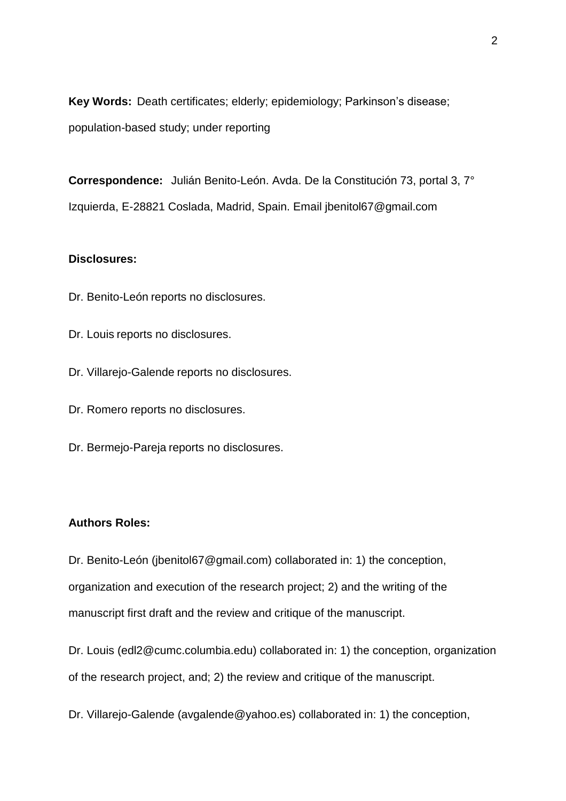**Key Words:** Death certificates; elderly; epidemiology; Parkinson's disease; population-based study; under reporting

**Correspondence:** Julián Benito-León. Avda. De la Constitución 73, portal 3, 7° Izquierda, E-28821 Coslada, Madrid, Spain. Email jbenitol67@gmail.com

# **Disclosures:**

- Dr. Benito-León reports no disclosures.
- Dr. Louis reports no disclosures.
- Dr. Villarejo-Galende reports no disclosures.
- Dr. Romero reports no disclosures.
- Dr. Bermejo-Pareja reports no disclosures.

## **Authors Roles:**

Dr. Benito-León (jbenitol67@gmail.com) collaborated in: 1) the conception, organization and execution of the research project; 2) and the writing of the manuscript first draft and the review and critique of the manuscript.

Dr. Louis (edl2@cumc.columbia.edu) collaborated in: 1) the conception, organization of the research project, and; 2) the review and critique of the manuscript.

Dr. Villarejo-Galende (avgalende@yahoo.es) collaborated in: 1) the conception,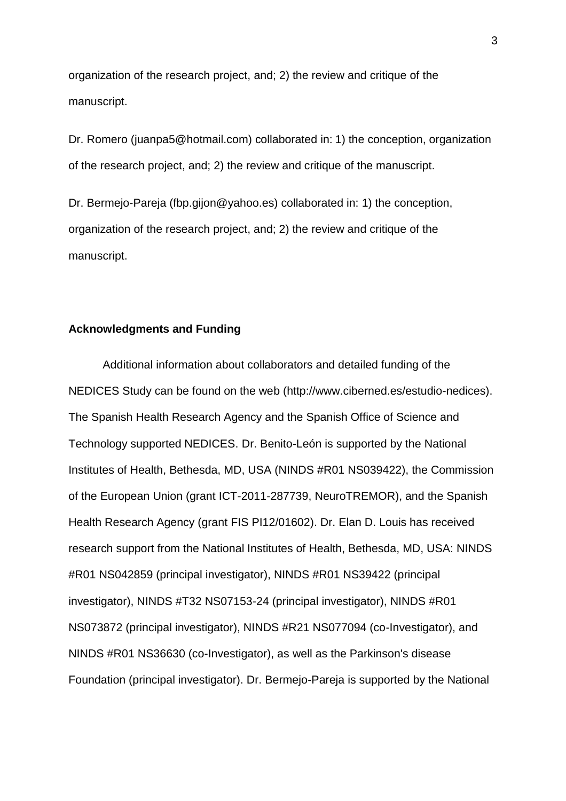organization of the research project, and; 2) the review and critique of the manuscript.

Dr. Romero (juanpa5@hotmail.com) collaborated in: 1) the conception, organization of the research project, and; 2) the review and critique of the manuscript.

Dr. Bermejo-Pareja (fbp.gijon@yahoo.es) collaborated in: 1) the conception, organization of the research project, and; 2) the review and critique of the manuscript.

# **Acknowledgments and Funding**

Additional information about collaborators and detailed funding of the NEDICES Study can be found on the web (http://www.ciberned.es/estudio-nedices). The Spanish Health Research Agency and the Spanish Office of Science and Technology supported NEDICES. Dr. Benito-León is supported by the National Institutes of Health, Bethesda, MD, USA (NINDS #R01 NS039422), the Commission of the European Union (grant ICT-2011-287739, NeuroTREMOR), and the Spanish Health Research Agency (grant FIS PI12/01602). Dr. Elan D. Louis has received research support from the National Institutes of Health, Bethesda, MD, USA: NINDS #R01 NS042859 (principal investigator), NINDS #R01 NS39422 (principal investigator), NINDS #T32 NS07153-24 (principal investigator), NINDS #R01 NS073872 (principal investigator), NINDS #R21 NS077094 (co-Investigator), and NINDS #R01 NS36630 (co-Investigator), as well as the Parkinson's disease Foundation (principal investigator). Dr. Bermejo-Pareja is supported by the National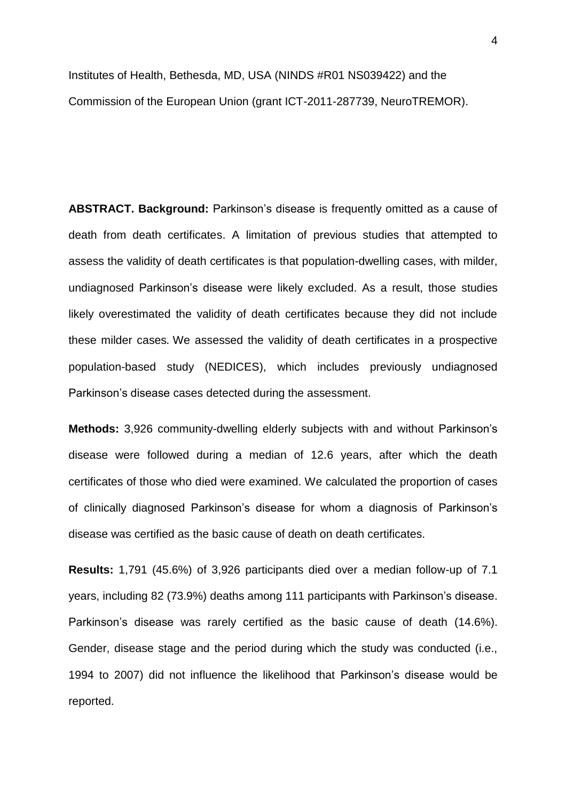Institutes of Health, Bethesda, MD, USA (NINDS #R01 NS039422) and the Commission of the European Union (grant ICT-2011-287739, NeuroTREMOR).

**ABSTRACT. Background:** Parkinson's disease is frequently omitted as a cause of death from death certificates. A limitation of previous studies that attempted to assess the validity of death certificates is that population-dwelling cases, with milder, undiagnosed Parkinson's disease were likely excluded. As a result, those studies likely overestimated the validity of death certificates because they did not include these milder cases. We assessed the validity of death certificates in a prospective population-based study (NEDICES), which includes previously undiagnosed Parkinson's disease cases detected during the assessment.

**Methods:** 3,926 community-dwelling elderly subjects with and without Parkinson's disease were followed during a median of 12.6 years, after which the death certificates of those who died were examined. We calculated the proportion of cases of clinically diagnosed Parkinson's disease for whom a diagnosis of Parkinson's disease was certified as the basic cause of death on death certificates.

**Results:** 1,791 (45.6%) of 3,926 participants died over a median follow-up of 7.1 years, including 82 (73.9%) deaths among 111 participants with Parkinson's disease. Parkinson's disease was rarely certified as the basic cause of death (14.6%). Gender, disease stage and the period during which the study was conducted (i.e., 1994 to 2007) did not influence the likelihood that Parkinson's disease would be reported.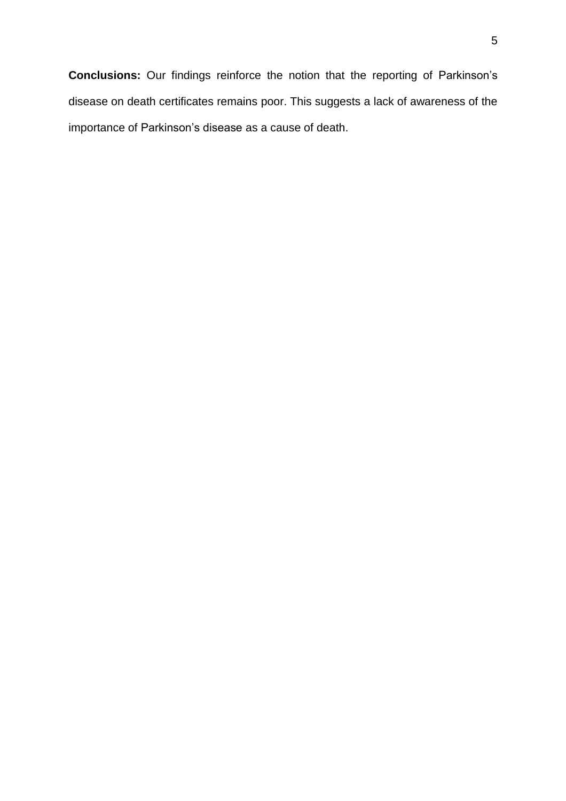**Conclusions:** Our findings reinforce the notion that the reporting of Parkinson's disease on death certificates remains poor. This suggests a lack of awareness of the importance of Parkinson's disease as a cause of death.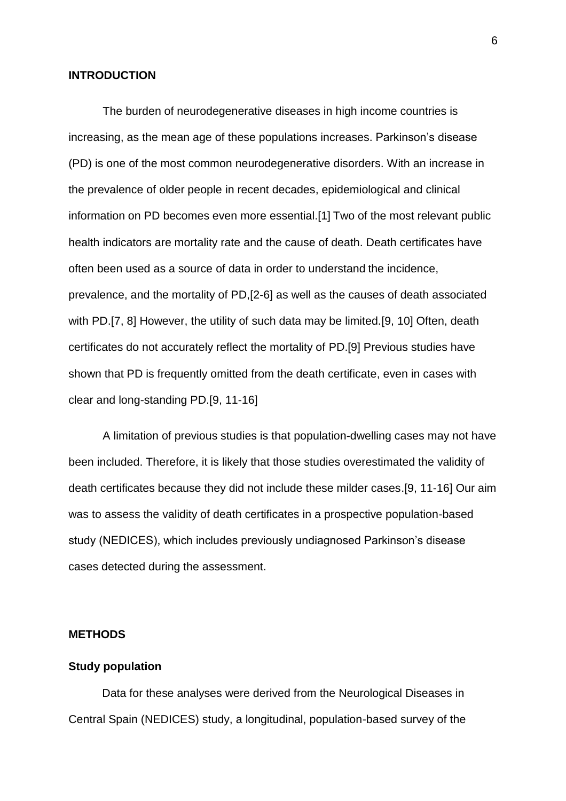#### **INTRODUCTION**

The burden of neurodegenerative diseases in high income countries is increasing, as the mean age of these populations increases. Parkinson's disease (PD) is one of the most common neurodegenerative disorders. With an increase in the prevalence of older people in recent decades, epidemiological and clinical information on PD becomes even more essential.[\[1\]](#page-14-0) Two of the most relevant public health indicators are mortality rate and the cause of death. Death certificates have often been used as a source of data in order to understand the incidence, prevalence, and the mortality of PD,[\[2-6\]](#page-14-1) as well as the causes of death associated with PD.[\[7,](#page-15-0) [8\]](#page-15-1) However, the utility of such data may be limited.[\[9,](#page-15-2) [10\]](#page-15-3) Often, death certificates do not accurately reflect the mortality of PD.[\[9\]](#page-15-2) Previous studies have shown that PD is frequently omitted from the death certificate, even in cases with clear and long-standing PD.[\[9,](#page-15-2) [11-16\]](#page-15-4)

A limitation of previous studies is that population-dwelling cases may not have been included. Therefore, it is likely that those studies overestimated the validity of death certificates because they did not include these milder cases.[\[9,](#page-15-2) [11-16\]](#page-15-4) Our aim was to assess the validity of death certificates in a prospective population-based study (NEDICES), which includes previously undiagnosed Parkinson's disease cases detected during the assessment.

# **METHODS**

#### **Study population**

Data for these analyses were derived from the Neurological Diseases in Central Spain (NEDICES) study, a longitudinal, population-based survey of the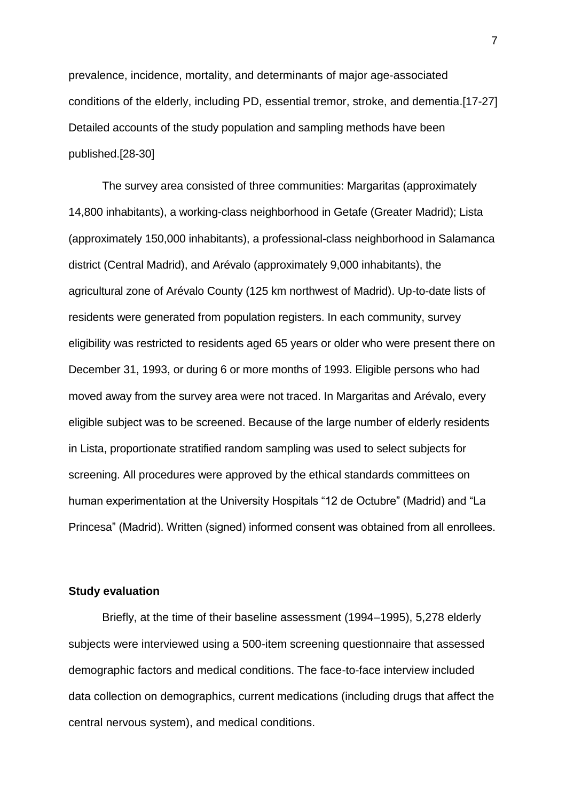prevalence, incidence, mortality, and determinants of major age-associated conditions of the elderly, including PD, essential tremor, stroke, and dementia.[\[17-27\]](#page-15-5) Detailed accounts of the study population and sampling methods have been published.[\[28-30\]](#page-16-0)

The survey area consisted of three communities: Margaritas (approximately 14,800 inhabitants), a working-class neighborhood in Getafe (Greater Madrid); Lista (approximately 150,000 inhabitants), a professional-class neighborhood in Salamanca district (Central Madrid), and Arévalo (approximately 9,000 inhabitants), the agricultural zone of Arévalo County (125 km northwest of Madrid). Up-to-date lists of residents were generated from population registers. In each community, survey eligibility was restricted to residents aged 65 years or older who were present there on December 31, 1993, or during 6 or more months of 1993. Eligible persons who had moved away from the survey area were not traced. In Margaritas and Arévalo, every eligible subject was to be screened. Because of the large number of elderly residents in Lista, proportionate stratified random sampling was used to select subjects for screening. All procedures were approved by the ethical standards committees on human experimentation at the University Hospitals "12 de Octubre" (Madrid) and "La Princesa" (Madrid). Written (signed) informed consent was obtained from all enrollees.

## **Study evaluation**

Briefly, at the time of their baseline assessment (1994–1995), 5,278 elderly subjects were interviewed using a 500-item screening questionnaire that assessed demographic factors and medical conditions. The face-to-face interview included data collection on demographics, current medications (including drugs that affect the central nervous system), and medical conditions.

7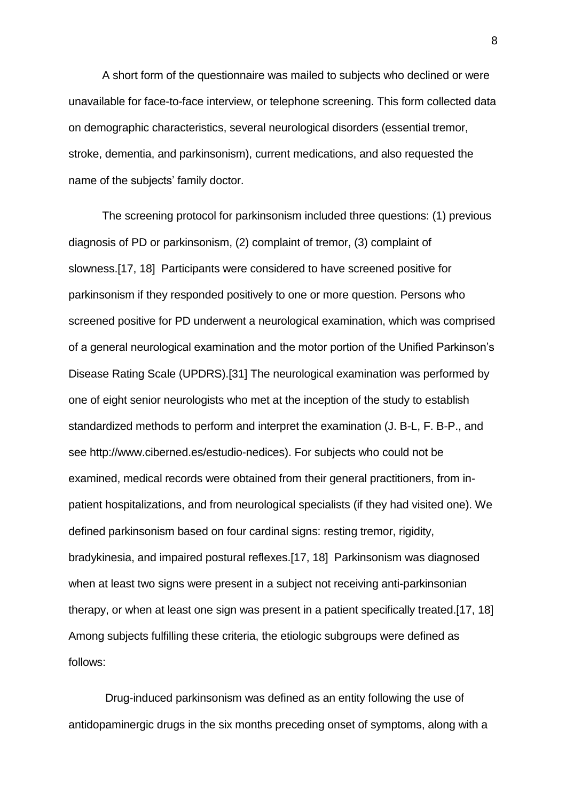A short form of the questionnaire was mailed to subjects who declined or were unavailable for face-to-face interview, or telephone screening. This form collected data on demographic characteristics, several neurological disorders (essential tremor, stroke, dementia, and parkinsonism), current medications, and also requested the name of the subjects' family doctor.

The screening protocol for parkinsonism included three questions: (1) previous diagnosis of PD or parkinsonism, (2) complaint of tremor, (3) complaint of slowness.[\[17,](#page-15-5) [18\]](#page-15-6) Participants were considered to have screened positive for parkinsonism if they responded positively to one or more question. Persons who screened positive for PD underwent a neurological examination, which was comprised of a general neurological examination and the motor portion of the Unified Parkinson's Disease Rating Scale (UPDRS).[\[31\]](#page-16-1) The neurological examination was performed by one of eight senior neurologists who met at the inception of the study to establish standardized methods to perform and interpret the examination (J. B-L, F. B-P., and see http://www.ciberned.es/estudio-nedices). For subjects who could not be examined, medical records were obtained from their general practitioners, from inpatient hospitalizations, and from neurological specialists (if they had visited one). We defined parkinsonism based on four cardinal signs: resting tremor, rigidity, bradykinesia, and impaired postural reflexes.[\[17,](#page-15-5) [18\]](#page-15-6) Parkinsonism was diagnosed when at least two signs were present in a subject not receiving anti-parkinsonian therapy, or when at least one sign was present in a patient specifically treated.[\[17,](#page-15-5) [18\]](#page-15-6) Among subjects fulfilling these criteria, the etiologic subgroups were defined as follows:

Drug-induced parkinsonism was defined as an entity following the use of antidopaminergic drugs in the six months preceding onset of symptoms, along with a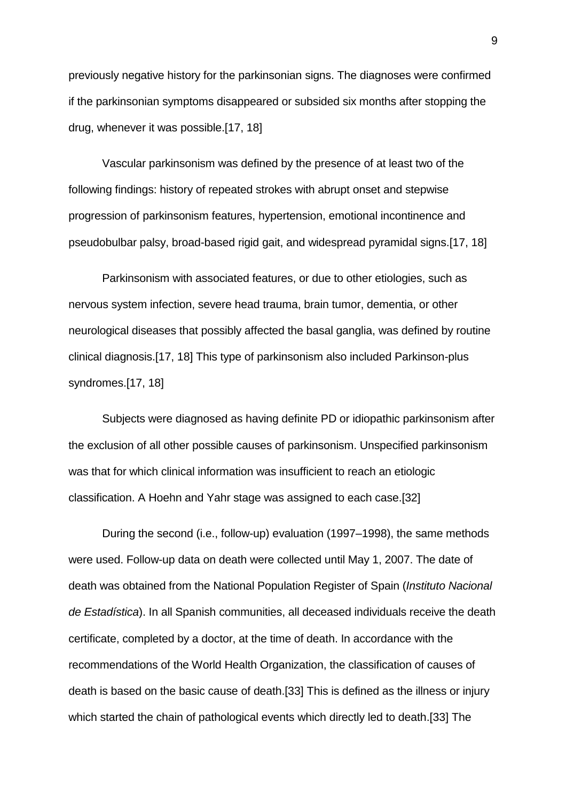previously negative history for the parkinsonian signs. The diagnoses were confirmed if the parkinsonian symptoms disappeared or subsided six months after stopping the drug, whenever it was possible.[\[17,](#page-15-5) [18\]](#page-15-6)

Vascular parkinsonism was defined by the presence of at least two of the following findings: history of repeated strokes with abrupt onset and stepwise progression of parkinsonism features, hypertension, emotional incontinence and pseudobulbar palsy, broad-based rigid gait, and widespread pyramidal signs.[\[17,](#page-15-5) [18\]](#page-15-6)

Parkinsonism with associated features, or due to other etiologies, such as nervous system infection, severe head trauma, brain tumor, dementia, or other neurological diseases that possibly affected the basal ganglia, was defined by routine clinical diagnosis.[\[17,](#page-15-5) [18\]](#page-15-6) This type of parkinsonism also included Parkinson-plus syndromes.[\[17,](#page-15-5) [18\]](#page-15-6)

Subjects were diagnosed as having definite PD or idiopathic parkinsonism after the exclusion of all other possible causes of parkinsonism. Unspecified parkinsonism was that for which clinical information was insufficient to reach an etiologic classification. A Hoehn and Yahr stage was assigned to each case.[\[32\]](#page-16-2)

During the second (i.e., follow-up) evaluation (1997–1998), the same methods were used. Follow-up data on death were collected until May 1, 2007. The date of death was obtained from the National Population Register of Spain (*Instituto Nacional de Estadística*). In all Spanish communities, all deceased individuals receive the death certificate, completed by a doctor, at the time of death. In accordance with the recommendations of the World Health Organization, the classification of causes of death is based on the basic cause of death.[\[33\]](#page-16-3) This is defined as the illness or injury which started the chain of pathological events which directly led to death.[\[33\]](#page-16-3) The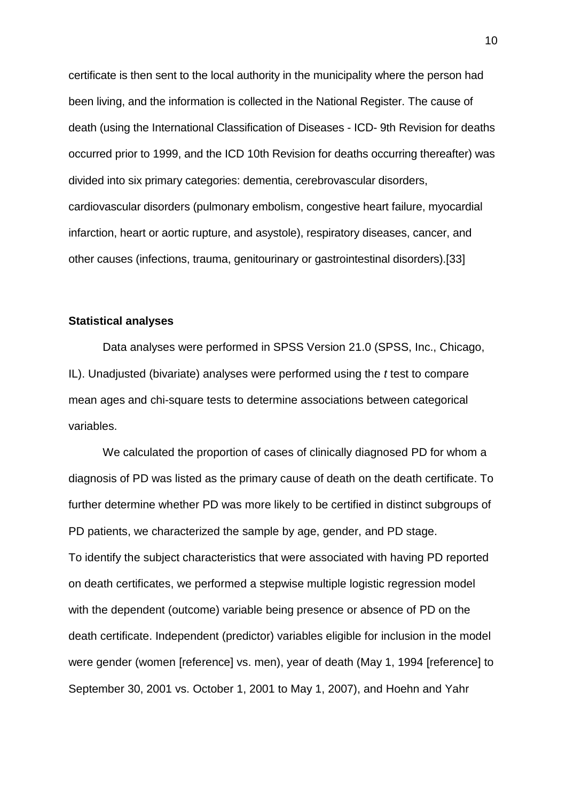certificate is then sent to the local authority in the municipality where the person had been living, and the information is collected in the National Register. The cause of death (using the International Classification of Diseases - ICD- 9th Revision for deaths occurred prior to 1999, and the ICD 10th Revision for deaths occurring thereafter) was divided into six primary categories: dementia, cerebrovascular disorders, cardiovascular disorders (pulmonary embolism, congestive heart failure, myocardial infarction, heart or aortic rupture, and asystole), respiratory diseases, cancer, and other causes (infections, trauma, genitourinary or gastrointestinal disorders).[\[33\]](#page-16-3)

# **Statistical analyses**

Data analyses were performed in SPSS Version 21.0 (SPSS, Inc., Chicago, IL). Unadjusted (bivariate) analyses were performed using the *t* test to compare mean ages and chi-square tests to determine associations between categorical variables.

We calculated the proportion of cases of clinically diagnosed PD for whom a diagnosis of PD was listed as the primary cause of death on the death certificate. To further determine whether PD was more likely to be certified in distinct subgroups of PD patients, we characterized the sample by age, gender, and PD stage. To identify the subject characteristics that were associated with having PD reported on death certificates, we performed a stepwise multiple logistic regression model with the dependent (outcome) variable being presence or absence of PD on the death certificate. Independent (predictor) variables eligible for inclusion in the model were gender (women [reference] vs. men), year of death (May 1, 1994 [reference] to September 30, 2001 vs. October 1, 2001 to May 1, 2007), and Hoehn and Yahr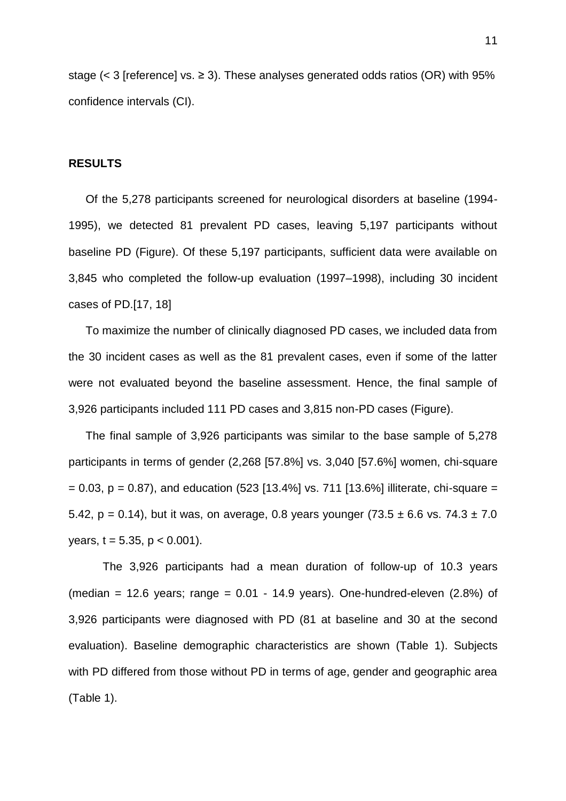stage ( $<$  3 [reference] vs.  $\geq$  3). These analyses generated odds ratios (OR) with 95% confidence intervals (CI).

## **RESULTS**

Of the 5,278 participants screened for neurological disorders at baseline (1994- 1995), we detected 81 prevalent PD cases, leaving 5,197 participants without baseline PD (Figure). Of these 5,197 participants, sufficient data were available on 3,845 who completed the follow-up evaluation (1997–1998), including 30 incident cases of PD.[\[17,](#page-15-5) [18\]](#page-15-6)

To maximize the number of clinically diagnosed PD cases, we included data from the 30 incident cases as well as the 81 prevalent cases, even if some of the latter were not evaluated beyond the baseline assessment. Hence, the final sample of 3,926 participants included 111 PD cases and 3,815 non-PD cases (Figure).

The final sample of 3,926 participants was similar to the base sample of 5,278 participants in terms of gender (2,268 [57.8%] vs. 3,040 [57.6%] women, chi-square  $= 0.03$ ,  $p = 0.87$ ), and education (523 [13.4%] vs. 711 [13.6%] illiterate, chi-square  $=$ 5.42,  $p = 0.14$ ), but it was, on average, 0.8 years younger (73.5  $\pm$  6.6 vs. 74.3  $\pm$  7.0 years,  $t = 5.35$ ,  $p < 0.001$ ).

The 3,926 participants had a mean duration of follow-up of 10.3 years (median = 12.6 years; range =  $0.01 - 14.9$  years). One-hundred-eleven (2.8%) of 3,926 participants were diagnosed with PD (81 at baseline and 30 at the second evaluation). Baseline demographic characteristics are shown (Table 1). Subjects with PD differed from those without PD in terms of age, gender and geographic area (Table 1).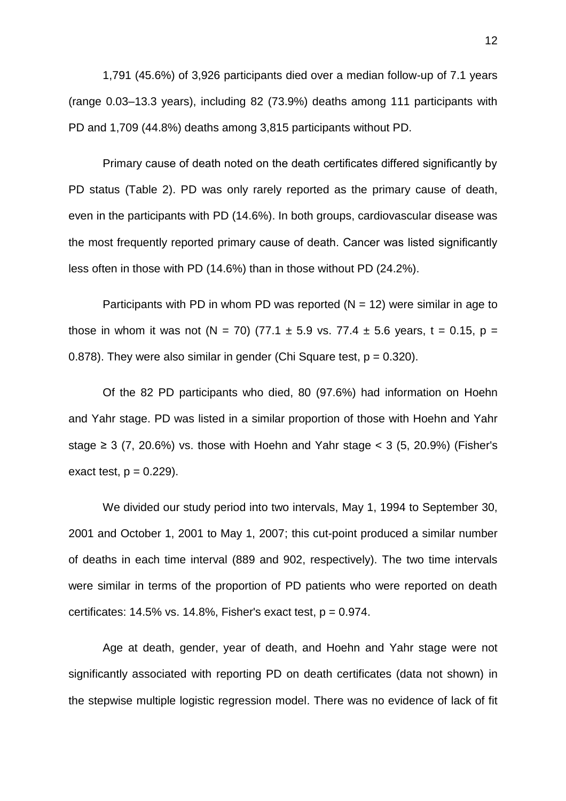1,791 (45.6%) of 3,926 participants died over a median follow-up of 7.1 years (range 0.03–13.3 years), including 82 (73.9%) deaths among 111 participants with PD and 1,709 (44.8%) deaths among 3,815 participants without PD.

Primary cause of death noted on the death certificates differed significantly by PD status (Table 2). PD was only rarely reported as the primary cause of death, even in the participants with PD (14.6%). In both groups, cardiovascular disease was the most frequently reported primary cause of death. Cancer was listed significantly less often in those with PD (14.6%) than in those without PD (24.2%).

Participants with PD in whom PD was reported  $(N = 12)$  were similar in age to those in whom it was not (N = 70) (77.1  $\pm$  5.9 vs. 77.4  $\pm$  5.6 years, t = 0.15, p = 0.878). They were also similar in gender (Chi Square test,  $p = 0.320$ ).

Of the 82 PD participants who died, 80 (97.6%) had information on Hoehn and Yahr stage. PD was listed in a similar proportion of those with Hoehn and Yahr stage  $\geq$  3 (7, 20.6%) vs. those with Hoehn and Yahr stage  $\lt$  3 (5, 20.9%) (Fisher's exact test,  $p = 0.229$ ).

We divided our study period into two intervals, May 1, 1994 to September 30, 2001 and October 1, 2001 to May 1, 2007; this cut-point produced a similar number of deaths in each time interval (889 and 902, respectively). The two time intervals were similar in terms of the proportion of PD patients who were reported on death certificates:  $14.5\%$  vs.  $14.8\%$ , Fisher's exact test,  $p = 0.974$ .

Age at death, gender, year of death, and Hoehn and Yahr stage were not significantly associated with reporting PD on death certificates (data not shown) in the stepwise multiple logistic regression model. There was no evidence of lack of fit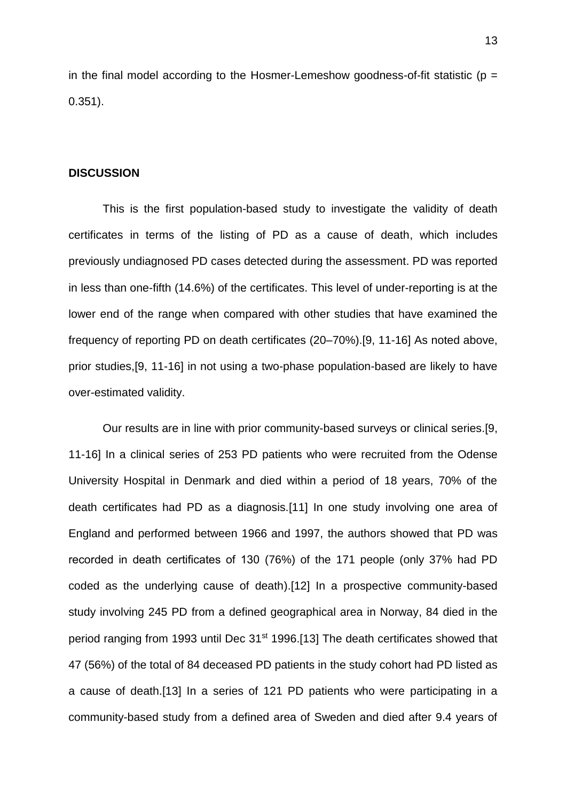in the final model according to the Hosmer-Lemeshow goodness-of-fit statistic ( $p =$ 0.351).

#### **DISCUSSION**

This is the first population-based study to investigate the validity of death certificates in terms of the listing of PD as a cause of death, which includes previously undiagnosed PD cases detected during the assessment. PD was reported in less than one-fifth (14.6%) of the certificates. This level of under-reporting is at the lower end of the range when compared with other studies that have examined the frequency of reporting PD on death certificates (20–70%).[\[9,](#page-15-2) [11-16\]](#page-15-4) As noted above, prior studies,[\[9,](#page-15-2) [11-16\]](#page-15-4) in not using a two-phase population-based are likely to have over-estimated validity.

Our results are in line with prior community-based surveys or clinical series.[\[9,](#page-15-2) [11-16\]](#page-15-4) In a clinical series of 253 PD patients who were recruited from the Odense University Hospital in Denmark and died within a period of 18 years, 70% of the death certificates had PD as a diagnosis.[\[11\]](#page-15-4) In one study involving one area of England and performed between 1966 and 1997, the authors showed that PD was recorded in death certificates of 130 (76%) of the 171 people (only 37% had PD coded as the underlying cause of death).[\[12\]](#page-15-7) In a prospective community-based study involving 245 PD from a defined geographical area in Norway, 84 died in the period ranging from 1993 until Dec 31<sup>st</sup> 1996.[\[13\]](#page-15-8) The death certificates showed that 47 (56%) of the total of 84 deceased PD patients in the study cohort had PD listed as a cause of death.[\[13\]](#page-15-8) In a series of 121 PD patients who were participating in a community-based study from a defined area of Sweden and died after 9.4 years of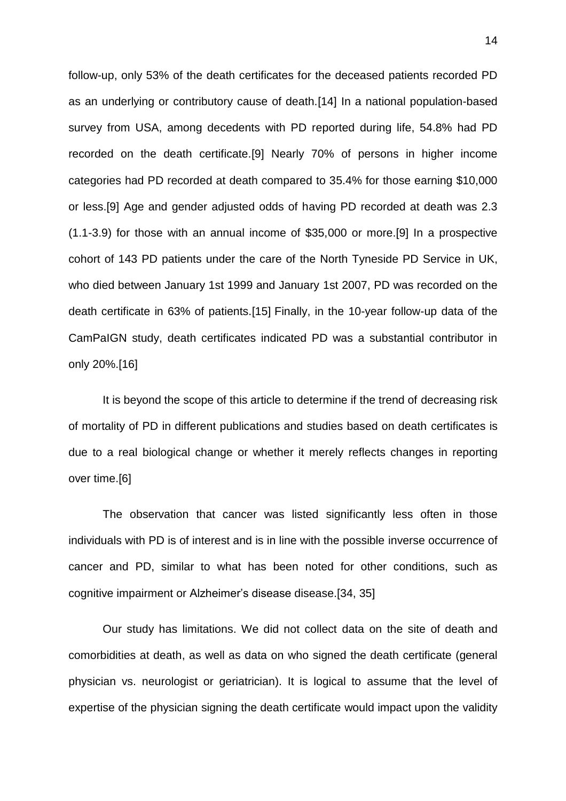follow-up, only 53% of the death certificates for the deceased patients recorded PD as an underlying or contributory cause of death.[\[14\]](#page-15-9) In a national population-based survey from USA, among decedents with PD reported during life, 54.8% had PD recorded on the death certificate.[\[9\]](#page-15-2) Nearly 70% of persons in higher income categories had PD recorded at death compared to 35.4% for those earning \$10,000 or less.[\[9\]](#page-15-2) Age and gender adjusted odds of having PD recorded at death was 2.3 (1.1-3.9) for those with an annual income of \$35,000 or more.[\[9\]](#page-15-2) In a prospective cohort of 143 PD patients under the care of the North Tyneside PD Service in UK, who died between January 1st 1999 and January 1st 2007, PD was recorded on the death certificate in 63% of patients.[\[15\]](#page-15-10) Finally, in the 10-year follow-up data of the CamPaIGN study, death certificates indicated PD was a substantial contributor in only 20%.[\[16\]](#page-15-11)

It is beyond the scope of this article to determine if the trend of decreasing risk of mortality of PD in different publications and studies based on death certificates is due to a real biological change or whether it merely reflects changes in reporting over time.[\[6\]](#page-15-12)

The observation that cancer was listed significantly less often in those individuals with PD is of interest and is in line with the possible inverse occurrence of cancer and PD, similar to what has been noted for other conditions, such as cognitive impairment or Alzheimer's disease disease.[\[34,](#page-16-4) [35\]](#page-16-5)

Our study has limitations. We did not collect data on the site of death and comorbidities at death, as well as data on who signed the death certificate (general physician vs. neurologist or geriatrician). It is logical to assume that the level of expertise of the physician signing the death certificate would impact upon the validity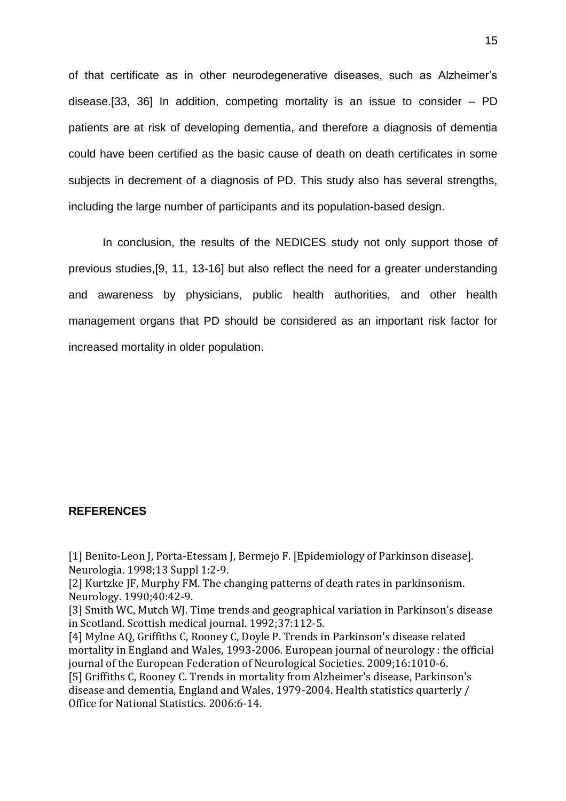of that certificate as in other neurodegenerative diseases, such as Alzheimer's disease.[\[33,](#page-16-3) [36\]](#page-16-6) In addition, competing mortality is an issue to consider – PD patients are at risk of developing dementia, and therefore a diagnosis of dementia could have been certified as the basic cause of death on death certificates in some subjects in decrement of a diagnosis of PD. This study also has several strengths, including the large number of participants and its population-based design.

In conclusion, the results of the NEDICES study not only support those of previous studies,[\[9,](#page-15-2) [11,](#page-15-4) [13-16\]](#page-15-8) but also reflect the need for a greater understanding and awareness by physicians, public health authorities, and other health management organs that PD should be considered as an important risk factor for increased mortality in older population.

## **REFERENCES**

<span id="page-14-0"></span>[1] Benito-Leon J, Porta-Etessam J, Bermejo F. [Epidemiology of Parkinson disease]. Neurologia. 1998;13 Suppl 1:2-9.

<span id="page-14-1"></span>[2] Kurtzke JF, Murphy FM. The changing patterns of death rates in parkinsonism. Neurology. 1990;40:42-9.

[3] Smith WC, Mutch WJ. Time trends and geographical variation in Parkinson's disease in Scotland. Scottish medical journal. 1992;37:112-5.

[4] Mylne AQ, Griffiths C, Rooney C, Doyle P. Trends in Parkinson's disease related mortality in England and Wales, 1993-2006. European journal of neurology : the official journal of the European Federation of Neurological Societies. 2009;16:1010-6. [5] Griffiths C, Rooney C. Trends in mortality from Alzheimer's disease, Parkinson's

disease and dementia, England and Wales, 1979-2004. Health statistics quarterly / Office for National Statistics. 2006:6-14.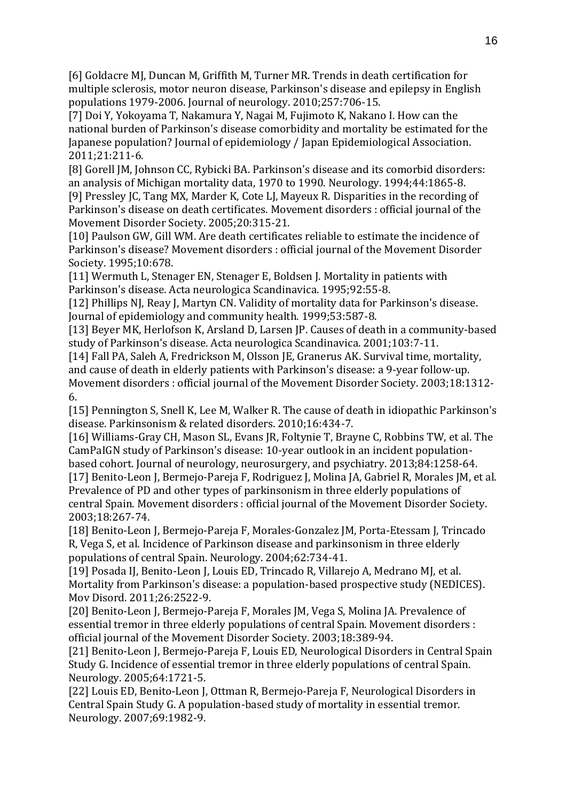<span id="page-15-12"></span>[6] Goldacre MJ, Duncan M, Griffith M, Turner MR. Trends in death certification for multiple sclerosis, motor neuron disease, Parkinson's disease and epilepsy in English populations 1979-2006. Journal of neurology. 2010;257:706-15.

<span id="page-15-0"></span>[7] Doi Y, Yokoyama T, Nakamura Y, Nagai M, Fujimoto K, Nakano I. How can the national burden of Parkinson's disease comorbidity and mortality be estimated for the Japanese population? Journal of epidemiology / Japan Epidemiological Association. 2011;21:211-6.

<span id="page-15-1"></span>[8] Gorell JM, Johnson CC, Rybicki BA. Parkinson's disease and its comorbid disorders: an analysis of Michigan mortality data, 1970 to 1990. Neurology. 1994;44:1865-8.

<span id="page-15-2"></span>[9] Pressley JC, Tang MX, Marder K, Cote LJ, Mayeux R. Disparities in the recording of Parkinson's disease on death certificates. Movement disorders : official journal of the Movement Disorder Society. 2005;20:315-21.

<span id="page-15-3"></span>[10] Paulson GW, Gill WM. Are death certificates reliable to estimate the incidence of Parkinson's disease? Movement disorders : official journal of the Movement Disorder Society. 1995;10:678.

<span id="page-15-4"></span>[11] Wermuth L, Stenager EN, Stenager E, Boldsen J. Mortality in patients with Parkinson's disease. Acta neurologica Scandinavica. 1995;92:55-8.

<span id="page-15-7"></span>[12] Phillips NJ, Reay J, Martyn CN. Validity of mortality data for Parkinson's disease. Journal of epidemiology and community health. 1999;53:587-8.

<span id="page-15-8"></span>[13] Beyer MK, Herlofson K, Arsland D, Larsen JP. Causes of death in a community-based study of Parkinson's disease. Acta neurologica Scandinavica. 2001;103:7-11.

<span id="page-15-9"></span>[14] Fall PA, Saleh A, Fredrickson M, Olsson JE, Granerus AK. Survival time, mortality, and cause of death in elderly patients with Parkinson's disease: a 9-year follow-up. Movement disorders : official journal of the Movement Disorder Society. 2003;18:1312- 6.

<span id="page-15-10"></span>[15] Pennington S, Snell K, Lee M, Walker R. The cause of death in idiopathic Parkinson's disease. Parkinsonism & related disorders. 2010;16:434-7.

<span id="page-15-11"></span>[16] Williams-Gray CH, Mason SL, Evans JR, Foltynie T, Brayne C, Robbins TW, et al. The CamPaIGN study of Parkinson's disease: 10-year outlook in an incident populationbased cohort. Journal of neurology, neurosurgery, and psychiatry. 2013;84:1258-64. [17] Benito-Leon J, Bermejo-Pareja F, Rodriguez J, Molina JA, Gabriel R, Morales JM, et al.

<span id="page-15-5"></span>Prevalence of PD and other types of parkinsonism in three elderly populations of central Spain. Movement disorders : official journal of the Movement Disorder Society. 2003;18:267-74.

<span id="page-15-6"></span>[18] Benito-Leon J, Bermejo-Pareja F, Morales-Gonzalez JM, Porta-Etessam J, Trincado R, Vega S, et al. Incidence of Parkinson disease and parkinsonism in three elderly populations of central Spain. Neurology. 2004;62:734-41.

[19] Posada IJ, Benito-Leon J, Louis ED, Trincado R, Villarejo A, Medrano MJ, et al. Mortality from Parkinson's disease: a population-based prospective study (NEDICES). Mov Disord. 2011;26:2522-9.

[20] Benito-Leon J, Bermejo-Pareja F, Morales JM, Vega S, Molina JA. Prevalence of essential tremor in three elderly populations of central Spain. Movement disorders : official journal of the Movement Disorder Society. 2003;18:389-94.

[21] Benito-Leon J, Bermejo-Pareja F, Louis ED, Neurological Disorders in Central Spain Study G. Incidence of essential tremor in three elderly populations of central Spain. Neurology. 2005;64:1721-5.

[22] Louis ED, Benito-Leon J, Ottman R, Bermejo-Pareja F, Neurological Disorders in Central Spain Study G. A population-based study of mortality in essential tremor. Neurology. 2007;69:1982-9.